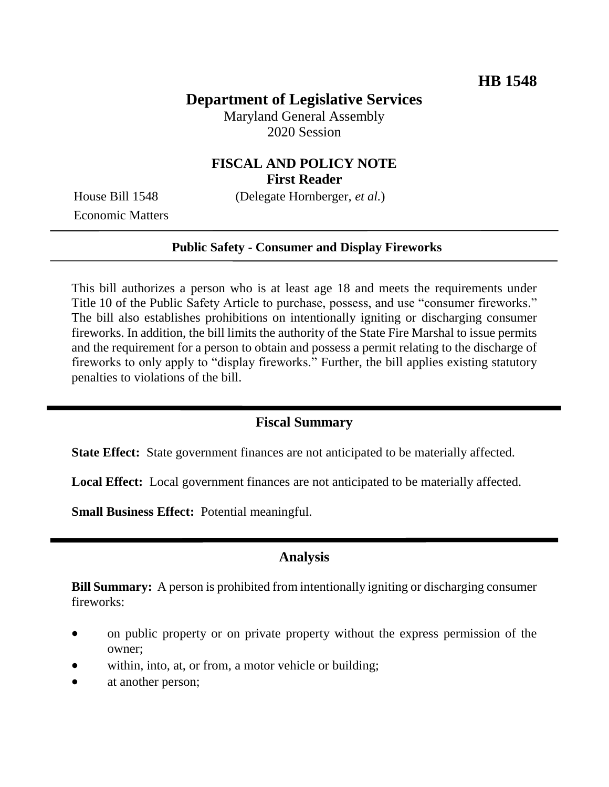# **Department of Legislative Services**

Maryland General Assembly 2020 Session

## **FISCAL AND POLICY NOTE First Reader**

House Bill 1548 (Delegate Hornberger, *et al.*)

Economic Matters

#### **Public Safety - Consumer and Display Fireworks**

This bill authorizes a person who is at least age 18 and meets the requirements under Title 10 of the Public Safety Article to purchase, possess, and use "consumer fireworks." The bill also establishes prohibitions on intentionally igniting or discharging consumer fireworks. In addition, the bill limits the authority of the State Fire Marshal to issue permits and the requirement for a person to obtain and possess a permit relating to the discharge of fireworks to only apply to "display fireworks." Further, the bill applies existing statutory penalties to violations of the bill.

### **Fiscal Summary**

**State Effect:** State government finances are not anticipated to be materially affected.

**Local Effect:** Local government finances are not anticipated to be materially affected.

**Small Business Effect:** Potential meaningful.

#### **Analysis**

**Bill Summary:** A person is prohibited from intentionally igniting or discharging consumer fireworks:

- on public property or on private property without the express permission of the owner;
- within, into, at, or from, a motor vehicle or building;
- at another person;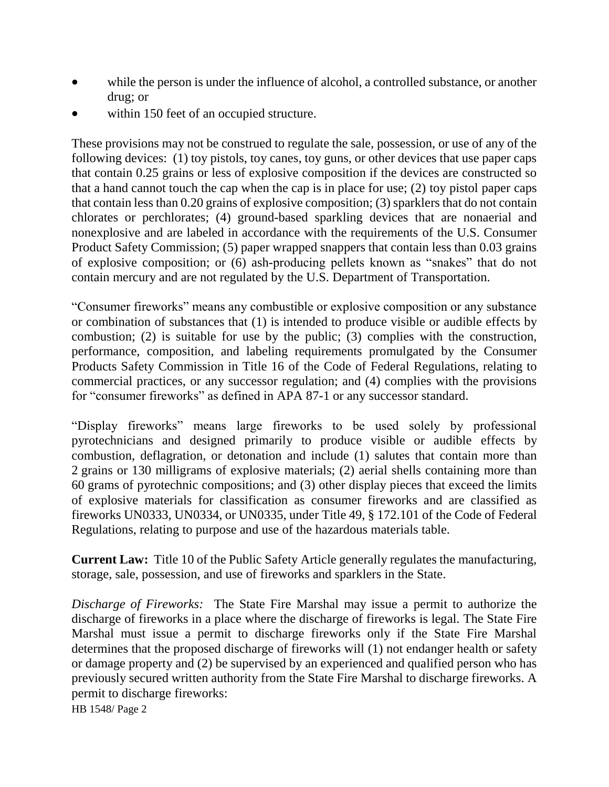- while the person is under the influence of alcohol, a controlled substance, or another drug; or
- within 150 feet of an occupied structure.

These provisions may not be construed to regulate the sale, possession, or use of any of the following devices: (1) toy pistols, toy canes, toy guns, or other devices that use paper caps that contain 0.25 grains or less of explosive composition if the devices are constructed so that a hand cannot touch the cap when the cap is in place for use; (2) toy pistol paper caps that contain less than 0.20 grains of explosive composition; (3) sparklers that do not contain chlorates or perchlorates; (4) ground-based sparkling devices that are nonaerial and nonexplosive and are labeled in accordance with the requirements of the U.S. Consumer Product Safety Commission; (5) paper wrapped snappers that contain less than 0.03 grains of explosive composition; or (6) ash-producing pellets known as "snakes" that do not contain mercury and are not regulated by the U.S. Department of Transportation.

"Consumer fireworks" means any combustible or explosive composition or any substance or combination of substances that (1) is intended to produce visible or audible effects by combustion; (2) is suitable for use by the public; (3) complies with the construction, performance, composition, and labeling requirements promulgated by the Consumer Products Safety Commission in Title 16 of the Code of Federal Regulations, relating to commercial practices, or any successor regulation; and (4) complies with the provisions for "consumer fireworks" as defined in APA 87-1 or any successor standard.

"Display fireworks" means large fireworks to be used solely by professional pyrotechnicians and designed primarily to produce visible or audible effects by combustion, deflagration, or detonation and include (1) salutes that contain more than 2 grains or 130 milligrams of explosive materials; (2) aerial shells containing more than 60 grams of pyrotechnic compositions; and (3) other display pieces that exceed the limits of explosive materials for classification as consumer fireworks and are classified as fireworks UN0333, UN0334, or UN0335, under Title 49, § 172.101 of the Code of Federal Regulations, relating to purpose and use of the hazardous materials table.

**Current Law:** Title 10 of the Public Safety Article generally regulates the manufacturing, storage, sale, possession, and use of fireworks and sparklers in the State.

*Discharge of Fireworks:* The State Fire Marshal may issue a permit to authorize the discharge of fireworks in a place where the discharge of fireworks is legal. The State Fire Marshal must issue a permit to discharge fireworks only if the State Fire Marshal determines that the proposed discharge of fireworks will (1) not endanger health or safety or damage property and (2) be supervised by an experienced and qualified person who has previously secured written authority from the State Fire Marshal to discharge fireworks. A permit to discharge fireworks:

HB 1548/ Page 2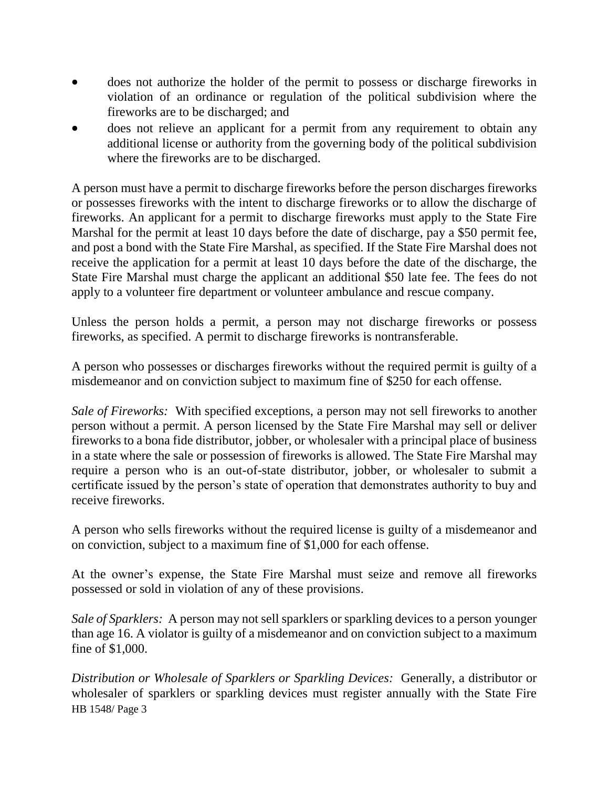- does not authorize the holder of the permit to possess or discharge fireworks in violation of an ordinance or regulation of the political subdivision where the fireworks are to be discharged; and
- does not relieve an applicant for a permit from any requirement to obtain any additional license or authority from the governing body of the political subdivision where the fireworks are to be discharged.

A person must have a permit to discharge fireworks before the person discharges fireworks or possesses fireworks with the intent to discharge fireworks or to allow the discharge of fireworks. An applicant for a permit to discharge fireworks must apply to the State Fire Marshal for the permit at least 10 days before the date of discharge, pay a \$50 permit fee, and post a bond with the State Fire Marshal, as specified. If the State Fire Marshal does not receive the application for a permit at least 10 days before the date of the discharge, the State Fire Marshal must charge the applicant an additional \$50 late fee. The fees do not apply to a volunteer fire department or volunteer ambulance and rescue company.

Unless the person holds a permit, a person may not discharge fireworks or possess fireworks, as specified. A permit to discharge fireworks is nontransferable.

A person who possesses or discharges fireworks without the required permit is guilty of a misdemeanor and on conviction subject to maximum fine of \$250 for each offense.

*Sale of Fireworks:* With specified exceptions, a person may not sell fireworks to another person without a permit. A person licensed by the State Fire Marshal may sell or deliver fireworks to a bona fide distributor, jobber, or wholesaler with a principal place of business in a state where the sale or possession of fireworks is allowed. The State Fire Marshal may require a person who is an out-of-state distributor, jobber, or wholesaler to submit a certificate issued by the person's state of operation that demonstrates authority to buy and receive fireworks.

A person who sells fireworks without the required license is guilty of a misdemeanor and on conviction, subject to a maximum fine of \$1,000 for each offense.

At the owner's expense, the State Fire Marshal must seize and remove all fireworks possessed or sold in violation of any of these provisions.

*Sale of Sparklers:* A person may not sell sparklers or sparkling devices to a person younger than age 16. A violator is guilty of a misdemeanor and on conviction subject to a maximum fine of \$1,000.

HB 1548/ Page 3 *Distribution or Wholesale of Sparklers or Sparkling Devices:* Generally, a distributor or wholesaler of sparklers or sparkling devices must register annually with the State Fire